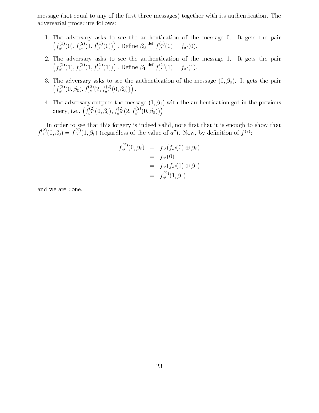message not equal to any of the rst three messages- together with its authentication The adversarial procedure follows

- 1. The adversary asks to see the authentication of the message 0. It gets the pair  $f_{a'}^{\gamma\gamma'}(0), f_{a''}^{\gamma\gamma'}(1, f_{a'}^{\gamma\gamma'}(0))$  $\sim$  . The contract of the contract of the contract of the contract of the contract of the contract of the contract of the contract of the contract of the contract of the contract of the contract of the contract of the co . Define  $\beta_0 \equiv f_{a'}^{(7)}(0) = f_{a'}(0)$ .
- 2. The adversary asks to see the authentication of the message 1. It gets the pair  $f_{a'}^{\gamma\gamma'}(1), f_{a''}^{\gamma\gamma'}(1, f_{a'}^{\gamma\gamma'}(1))$  $\sim$  . The contract of the contract of the contract of the contract of the contract of the contract of the contract of the contract of the contract of the contract of the contract of the contract of the contract of the co dene and the second second second second second second second second second second second second second second  $\equiv f_{a'}^{r'}(1) = f_{a'}(1).$
- ar and deressel asked to see the authentication of the message (clicQ), at Quarter back  $\sim$   $\sim$   $\sim$   $\sim$  $f_a^{\gamma \gamma^\ast}(0,\beta_0), f_a^{\gamma \gamma^\ast}(2,f_a^{\gamma \gamma^\ast}(0,\beta_0))$  $\mathcal{L}$  and the contract of the contract of the contract of the contract of the contract of the contract of the contract of the contract of the contract of the contract of the contract of the contract of the contract of
- the adversary outputs the message (a)). If we can carrier contract October before an query, i.e.,  $\left(f_{a'}^{(2)}(0,\beta_0), f_{a''}^{(2)}(2, f_{a'}^{(2)}(0,\beta_0))\right)$  $\sim$  . The contract of the contract of the contract of the contract of the contract of the contract of the contract of the contract of the contract of the contract of the contract of the contract of the contract of the co

In order to see that this forgery is indeed valid, note first that it is enough to show that  $f_a^{\tau\tau}(0,\beta_0)=f_a^{\tau\tau}(1,\beta_1)$  (regardless of the value of  $a^{\prime\prime}$ ). Now, by definition of  $f^{(2)}$ :

$$
f_{a'}^{(2)}(0,\beta_0) = f_{a'}(f_{a'}(0) \oplus \beta_0)
$$
  
=  $f_{a'}(0)$   
=  $f_{a'}(f_{a'}(1) \oplus \beta_1)$   
=  $f_{a'}^{(2)}(1,\beta_1)$ 

and we are done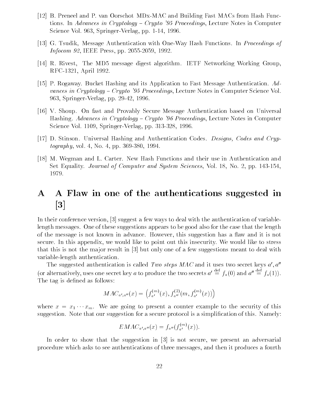- [12] B. Preneel and P. van Oorschot MDx-MAC and Building Fast MACs from Hash Functions In Advances in Cryptology Crypto - Proceedings Lecture Notes in Computer Science Vol Springer Verlag pp Province Springer
- [13] G. Tsudik, Message Authentication with One-Way Hash Functions. In *Proceedings of* Information and IEEE Press press press press press press press press press press press press press press press
- R Rivest The MD message digest algorithm IETF Networking Working Group RFC-1321, April 1992.
- [15] P. Rogaway. Bucket Hashing and its Application to Fast Message Authentication.  $Ad$ vances in Cryptology Crypto - Proceedings Lecture Notes in Computer Science Vol Springer verlag particle in the second property of the second particle in the second particle in the second particle in the second particle in the second particle in the second particle in the second particle in the second
- V Shoup On fast and Provably Secure Message Authentication based on Universal Hashing Advances in Cryptology Crypto - Proceedings Lecture Notes in Computer Science Vol.  $1109$ , Springer-Verlag, pp.  $313-328$ , 1996.
- [17] D. Stinson. Universal Hashing and Authentication Codes. Designs, Codes and Cryptography volume and the contract of the contract of the contract of the contract of the contract of the contract of the contract of the contract of the contract of the contract of the contract of the contract of the contra
- [18] M. Wegman and L. Carter. New Hash Functions and their use in Authentication and Set Equality Journal of Computer and System Sciences Vol No pp 1979.

# A A Flaw in one of the authentications suggested in  $\lceil 3 \rceil$

In their conference version,  $\begin{bmatrix} 3 \end{bmatrix}$  suggest a few ways to deal with the authentication of variablelength messages One of these suggestions appears to be good also for the case that the length of the message is not known in advance. However, this suggestion has a flaw and it is not secure In this appendix we would like to point out this insecurity We would like to stress that this is not the major result in  $\lceil 3 \rceil$  but only one of a few suggestions meant to deal with variable-length authentication.

The suggested authentication is called Two steps  $MAC$  and it uses two secret keys  $a', a''$ (or alternatively, uses one secret key a to produce the two secrets  $a' \equiv f_a(0)$  and  $a'' \equiv f_a(1)$ ). The tag is defined as follows:

$$
MAC_{a',a''}(x) = \left(f_{a'}^{(m)}(x), f_{a''}^{(2)}(m, f_{a'}^{(m)}(x))\right)
$$

where  $x = x_1 \cdots x_m$ . We are going to present a counter example to the security of this suggestion. Note that our suggestion for a secure protocol is a simplification of this. Namely:

$$
EMAC_{a',a''}(x) = f_{a''}(f_{a'}^{(m)}(x))
$$

In order to show that the suggestion in  $\lceil 3 \rceil$  is not secure, we present an adversarial procedure which asks to see authentications of three messages and then it produces a fourth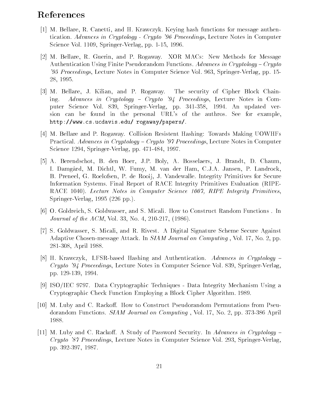## References

- [1] M. Bellare, R. Canetti, and H. Krawczyk. Keying hash functions for message authentication Advances in Cryptology Crypto - Proceedings Lecture Notes in Computer Science Vol.  $1109$ , Springer-Verlag, pp.  $1-15$ ,  $1996$ .
- [2] M. Bellare, R. Guerin, and P. Rogaway. XOR MACs: New Methods for Message Authentication Using Finite Pseudorandom Functions. Advances in Cryptology – Crypto - Proceedings Lecture Notes in Computer Science Vol SpringerVerlag pp 28, 1995.
- [3] M. Bellare, J. Kilian, and P. Rogaway. The security of Cipher Block Chaining Advances in Cryptology in Cryptology in Cryptology in Cryptology in Cryptology in Cryptology in Cryptology in Cryptology in Cryptology in Cryptology in Cryptology in Cryptology in Cryptology in Cryptology in Cryptolog puter Science Viet SSS, Springer (exempt pp) See SSS, and an updated verlage sion can be found in the personal URL's of the authros. See for example, httpwww-cs-ucdavis-edu rogawaypapers
- M Bellare and P Rogaway Collision Resistent Hashing Towards Making UOWHFs Practical Advances in Cryptology Crypto - Proceedings Lecture Notes in Computer Science and Science and SpringerVerlag pp. 2011. In the springer particle is a springer of the springer particle
- [5] A. Berendschot, B. den Boer, J.P. Boly, A. Bosselaers, J. Brandt, D. Chaum, I. Damgård, M. Dichtl, W. Fumy, M. van der Ham, C.J.A. Jansen, P. Landrock, B. Preneel, G. Roelofsen, P. de Rooij, J. Vandewalle. Integrity Primitives for Secure Information Systems. Final Report of RACE Integrity Primitives Evaluation (RIPE-RACE - Lecture Notes in Computer Science RIPE Integrity Primitives SpringerVerlag pp-
- [6] O. Goldreich, S. Goldwasser, and S. Micali. How to Construct Random Functions . In Journal of the ACOME, when they can be comed to the Act of the Act of the Act of the Act of the Act of the Act of the Act of the Act of the Act of the Act of the Act of the Act of the Act of the Act of the Act of the Act o
- [7] S. Goldwasser, S. Micali, and R. Rivest. A Digital Signature Scheme Secure Against Adaptive Chosen-message Attack. In  $SIAM$  Journal on Computing, Vol. 17, No. 2, pp. 281-308, April 1988.
- [8] H. Krawczyk, LFSR-based Hashing and Authentication. Advances in Cryptology  $-$ Crypto - Proceedings Lecture Notes in Computer Science Vol SpringerVerlag pp products and products are producted and products and products are an analysis of the product of the product
- [9] ISO/IEC 9797. Data Cryptographic Techniques Data Integrity Mechanism Using a Cryptographic Check Function Employing a Block Cipher Algorithm
- [10] M. Luby and C. Rackoff. How to Construct Pseudorandom Permutations from Pseudorandom Functions.  $SIAM Journal on Computing$ , Vol. 17, No. 2, pp. 373-386 April 1988.
- [11] M. Luby and C. Rackoff. A Study of Password Security. In Advances in Cryptology  $Crypto$   $\lq 87$  Proceedings, Lecture Notes in Computer Science Vol. 293, Springer-Verlag, pp. 392-397, 1987.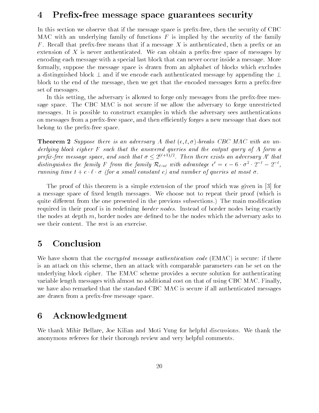## 4 Prefix-free message space guarantees security

In this section we observe that if the message space is prefix-free, then the security of CBC MAC with an underlying family of functions  $F$  is implied by the security of the family F. Recall that prefix-free means that if a message X is authenticated, then a prefix or an extension of  $X$  is never authenticated. We can obtain a prefix-free space of messages by encoding each message with a special last block that can never occur inside a message More formally suppose the message space is drawn from an alphabet of blocks which excludes a distinguished block - and - and if we encode the substantiated message by appending the block to the end of the message, then we get that the encoded messages form a prefix-free set of messages

In this setting, the adversary is allowed to forge only messages from the prefix-free message space The CBC MAC is not secure if we allow the adversary to forge unrestricted messages It is possible to construct examples in which the adversary sees authentications on messages from a prefix-free space, and then efficiently forges a new message that does not belong to the prefix-free space.

the second suppose there is an uncertainty as annually a that a second with an uncertainty derlying block cipher F such that the answered queries and the output query of A form a prepx-pree message space, and such that  $\sigma <$   $\vartriangle^{++---}$ . Then there exists an adversary  $A$  that distinguishes the family  $F$  from the family  $\mathcal{K}_{\ell \to \ell}$  with advantage  $\epsilon \ = \ \epsilon - 6 \cdot \sigma$   $\cdot$  2  $\cdot$   $\ -$  2  $\cdot$  , running time  $t + c \cdot \ell \cdot \sigma$  (for a small constant c) and number of queries at most  $\sigma$ .

The proof of this theorem is a simple extension of the proof which was given in  $[3]$  for a message space of fixed length messages. We choose not to repeat their proof (which is quite different from the one presented in the previous subsections subsections and modified in the modified in required in their proof is in redefining *border nodes*. Instead of border nodes being exactly the nodes at depth  $m$ , border nodes are defined to be the nodes which the adversary asks to see their content. The rest is an exercise.

#### Conclusion  $\overline{5}$

We have shown that the encrypted message authentication code EMAC- is secure if there is an attack on this scheme, then an attack with comparable parameters can be set on the underlying block cipher. The EMAC scheme provides a secure solution for authenticating variable length messages with almost no additional cost on that of using CBC MAC Finally we have also remarked that the standard CBC MAC is secure if all authenticated messages are drawn from a prefix-free message space.

#### Acknowledgment 6

We thank Mihir Bellare, Joe Kilian and Moti Yung for helpful discussions. We thank the anonymous referees for their thorough review and very helpful comments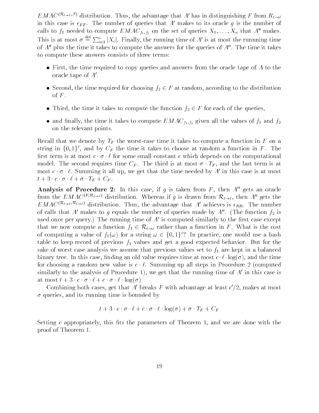$EMAC$   $\cdots$   $\cdots$  distribution. Thus, the advantage that A has in distinguishing F from  $R_{\ell \rightarrow \ell}$ in this case is  $\epsilon_{FF}$ . The number of queries that A' makes to its oracle g is the number of calls to  $f_1$  needed to compute  $EMAC_{f_1, f_2}$  on the set of queries  $X_1, \ldots, X_n$  that A'' makes. This is at most  $\sigma \stackrel{\text{def}}{=} \sum_{i=1}^{n} |X_i|$ . Finally, the running time of A' is at most the runnning time of  $A''$  plus the time it takes to compute the answers for the queries of  $A''$ . The time it takes to compute these answers consists of three terms

- $\bullet$  First, the time required to copy queries and answers from the oracle tape of A to the oracle tape of  $A'$ .
- Second, the time required for choosing  $f_2 \in F$  at random, according to the distribution of  $F$ .
- Third, the time it takes to compute the function  $f_2 \in F$  for each of the queries,
- and finally, the time it takes to compute  $EMAC_{f_1,f_2}$  given all the values of  $f_1$  and  $f_2$ on the relevant points

Recall that we denote by  $T_F$  the worst-case time it takes to compute a function in F on a string in  $\{0,1\}$ , and by  $\cup_F$  the time it takes to choose at random a function in  $F$  . The first term is at most  $c \cdot \sigma \cdot \ell$  for some small constant c which depends on the computational model. The second requires time  $C_F$ . The third is at most  $\sigma \cdot T_F$ , and the last term is at most  $c \cdot \sigma \cdot \ell$ . Summing it all up, we get that the time needed by A' in this case is at most  $t + 3 \cdot c \cdot \sigma \cdot \ell + \sigma \cdot T_F + C_F.$ 

Analysis of Procedure 2: In this case, if q is taken from  $F$ , then  $A''$  gets an oracle from the EMAC  $^{\cdots}$  distribution. Whereas if g is drawn from  $\kappa_{\ell \to \ell}$ , then A gets the  $EMAC$   $\cdots$   $\cdots$   $\cdots$  distribution. Thus, the advantage that A achieves is  $\epsilon_{RR}$ . The number of calls that A' makes to g equals the number of queries made by A". (The function  $f_2$  is used once per query.) The running time of  $A$  is computed similarly to the first case except  $\qquad$ that we now compute a function  $f_1 \in \mathcal{R}_{\ell \to \ell}$  rather than a function in F. What is the cost of computing a value of  $f_1(\omega)$  for a string  $\omega \in \{0,1\}$  : In practice, one would use a hash table to keep record of previous  $f_1$  values and get a good expected behavior. But for the sake of worst case analysis we assume that previous values set to  $f_1$  are kept in a balanced binary trees in this case of this case in this case time at most case in the time at most case time at  $\sim$ for choosing a random new value is  $c \cdot \ell$ . Summing up all steps in Procedure 2 (computed similarly to the analysis of Procedure 1), we get that the running time of  $A$  in this case is at most  $t + 3 \cdot c \cdot \sigma \cdot \ell + c \cdot \sigma \cdot \ell \cdot \log(\sigma)$ 

Combining both cases, get that  $A$  -breaks  $F$  with advantage at least  $\epsilon$  /2, makes at most  $\sigma$  queries, and its running time is bounded by

$$
t + 3 \cdot c \cdot \sigma \cdot \ell + c \cdot \sigma \cdot \ell \cdot \log(\sigma) + \sigma \cdot T_F + C_F
$$

Setting c appropriately, this fits the parameters of Theorem 1, and we are done with the proof of Theorem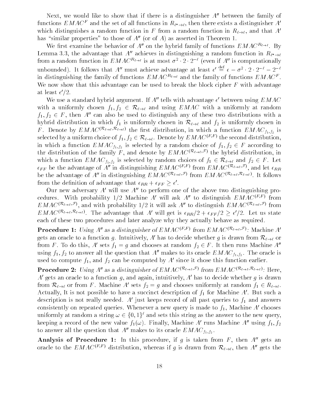Next, we would like to show that if there is a distinguisher  $A''$  between the family of functions  $EMAC^+$  and the set of all functions in  $R_{\ell^* \to \ell},$  then there exists a distinguisher  $A^$ which distinguishes a random function in F from a random function in  $R_{\ell \to \ell}$ , and that A' has similar properties to those of  $A$  (or of  $A$ ) as asserted in Theorem 1.

We first examine the behavior of A'' on the hybrid family of functions  $EMAC^{R_{\ell}}$ . By Lemma  $\mathfrak{d}.\mathfrak{d},\mathfrak{v}$  the advantage that A achieves in distinguishing a random function in  $R\ell^*\rightarrow\ell^$ from a random function in  $EMAC$   $\rightarrow$  is at most  $\sigma$   $\rightarrow$   $\prime$   $\rightarrow$   $\rightarrow$  (even if  $A$  is computationally unbounded). It follows that A'' must achieve advantage at least  $\epsilon' \equiv \epsilon - \sigma^2 \cdot 2 \cdot 2^{-\epsilon} - 2^{-\epsilon}$ in distinguishing the family of functions  $EMAC$   $\rightarrow$  and the family of functions  $EMAC$  . We now show that this advantage can be used to break the block cipher  $F$  with advantage at least e 72.

We use a standard hybrid argument. If  $A$  tells with advantage  $\epsilon$  between using  $EMAC$ with a uniformly chosen  $f_1, f_2 \in \mathcal{R}_{\ell \to \ell}$  and using EMAC with a uniformly at random  $f_1, f_2 \in F$ , then A'' can also be used to distinguish any of these two distributions with a hybrid distribution in which  $f_1$  is uniformly chosen in  $\mathcal{R}_{\ell \to \ell}$  and  $f_2$  is uniformly chosen in r. Denote by  $EMAC$   $\rightarrow$   $\rightarrow$   $\rightarrow$   $\rightarrow$  the first distribution, in which a function  $EMAC$   $_{f_1,f_2}$  is the rst distribution in which a function  $t_{\rm eff}$  function  $t_{\rm eff}$  function  $t_{\rm eff}$ selected by a uniform choice of  $f_1, f_2 \in \kappa_{\ell \to \ell}.$  Denote by  $EMAC$  (  $\ell \in \ell$  the second distribution, in which a function  $\mathcal{F}$  and  $\mathcal{F}$  and  $\mathcal{F}$  function  $\mathcal{F}$  and  $\mathcal{F}$  are conditions to function  $\mathcal{F}$ thr distribution of the family F, and denote by  $EMAC$   $\rightarrow$   $\rightarrow$  the hybrid distribution, in which a function  $\mu_{11}$  is selected by random choices of  $f$   $\mu$   $\sim$  and  $f$   $\mu$  $\epsilon_{FF}$  be the advantage of A in distinguishing  $EMAC$  ,  $^{\epsilon_{FT}}$  from  $EMAC$  ,  $^{\epsilon_{T_{eff}}}$  , and let  $\epsilon_{RR}$ be the advantage of A in distinguishing  $EMAC$  (the contribution  $EMAC$  (the contributions). It follows from the definition of advantage that  $\epsilon_{RR}+\epsilon_{FF}\geq \epsilon$  .

Our new adversary  $A'$  will use  $A''$  to perform one of the above two distinguishing procedures. With probability 1/2 Machine A will ask A to distinguish  $EMAC^{++}$  from  $EMA$ C $\sim$   $\sim$   $\sim$   $\sim$   $\sim$  and with probability 1/2 it will ask A to distinguish  $EMA$ C $\sim$   $\sim$   $\sim$   $\sim$  roin  $EMAC^{(1,2,3,1)}$ . The advantage that A will get is  $\epsilon_{RR}/2 + \epsilon_{FF}/2 \geq \epsilon/2$ . Let us state each of these two procedures and later analyze why they actually behave as required

**Procedure 1:** Using A as a distinguisher of  $EMAC$  of  $TMAC$  and  $MAC$  and  $TMAC$ gets an oracle to a function g. Intuitively, A' has to decide whether g is drawn from  $\mathcal{R}_{\ell \to \ell}$  or from F. To do this, A' sets  $f_1 = g$  and chooses at random  $f_2 \in F$ . It then runs Machine A'' using  $f_1, f_2$  to answer all the question that  $A$  -makes to its oracle  $EMAC_{f_1, f_2}$ . The oracle is used to compute  $f_1$ , and  $f_2$  can be computed by A' since it chose this function earlier.

**Procedure 2:** Using A as a distinguisher of EMAC  $\cdots \rightarrow \cdots$  from EMAC  $\cdots \rightarrow \cdots \rightarrow \cdots$  . Here,  $A'$  gets an oracle to a function g, and again, intuitively,  $A'$  has to decide whether g is drawn from  $\mathcal{R}_{\ell \to \ell}$  or from F. Machine A' sets  $f_2 = g$  and chooses uniformly at random  $f_1 \in R_{\ell \to \ell}$ . Actually, It is not possible to have a succinct description of  $f_1$  for Machine A'. But such a description is not really needed. A' just keeps record of all past queries to  $f_1$  and answers consistently on repeated queries. Whenever a new query is made to  $f_1$ , Machine A' chooses uniformly at random a string  $\omega \in \{0,1\}^{\ell}$  and sets this string as the answer to the new query, keeping a record of the new value  $f_1(\omega)$ . Finally, Machine A runs Machine A using  $f_1, f_2$ to answer all the question that A makes to its oracle  $EMAC_{f_1,f_2}$ .

Analysis of Procedure 1: In this procedure, if  $q$  is taken from F, then  $A$  gets an oracle to the  $EMAC$   $\leftrightarrow$  distribution, whereas if g is drawn from  $\mathcal{K}_{\ell \to \ell}$ , then A gets the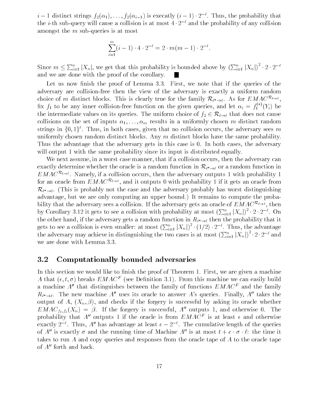$i = 1$  distinct strings  $f_2(\alpha_1), \ldots, f_2(\alpha_{i-1})$  is execatly  $(i-1) \cdot 2$  . Thus, the probability that the  $i$ -th sub-query will cause a collision is at most  $4 \cdot 2 =$  and the probability of any collision amongst the  $m$  sub-queries is at most

$$
\sum_{i=1}^{m} (i-1) \cdot 4 \cdot 2^{-\ell} = 2 \cdot m(m-1) \cdot 2^{-\ell}.
$$

Since  $m \leq \sum_{i=1}^n |X_n|$ , we get that this probability is bounded above by  $(\sum_{i=1}^n |X_n|)^2 \cdot 2 \cdot 2^{-\ell}$ and we are done with the proof of the corollary

Let us now finish the proof of Lemma  $3.3$ . First, we note that if the queries of the adversary are collision-free then the view of the adversary is exactly a uniform random choice of m distinct blocks. This is clearly true for the family  $\mathcal{R}_{\ell^* \to \ell^*}$ . As for  $EMAC^{-\ell \to \ell}$ , fix  $f_1$  to be any inner collision-free function on the given queries, and let  $\alpha_i = f_1^\rightarrow{}'(Y_i)$  be the intermediate values on its queries. The uniform choice of  $f_2 \in \mathcal{R}_{\ell \to \ell}$  that does not cause collisions on the set of inputs  $\alpha_1, \ldots, \alpha_m$  results in a uniformly chosen m distinct random strings in  $\{0,1\}$ . Thus, in both cases, given that no collision occurs, the adversary sees m uniformly chosen random distinct blocks. Any  $m$  distinct blocks have the same probability. Thus the advantage that the adversary gets in this case is 0. In both cases, the adversary will output 1 with the same probability since its input is distributed equally.

We next assume, in a worst case manner, that if a collision occurs, then the adversary can exactly determine whether the oracle is a random function in R- or a random function in  $EMAC^{\mathcal{R}_{\ell\to\ell}}$ . Namely, if a collision occurs, then the adversary outputs 1 with probability 1 for an oracle from  $EMAC^{\mathcal{R}_{\ell\rightarrow\ell}}$ , and it outputs 0 with probability 1 if it gets an oracle from  $m \rightarrow e$ . This is probably not the case and the adversary probably has word distinguishing advantage but we are only computing an upper bound- It remains to compute the proba bility that the adversary sees a collision. If the adversary gets an oracle of  $EMAC^{\mathcal{R}_{\ell\to\ell}}$ , then by Corollary 3.12 it gets to see a collision with probability at most  $(\sum_{i=1}^n |X_n|)^2 \cdot 2 \cdot 2^{-\ell}$ . On the other hand if the adversary gets a random function in R- then the probability that it gets to see a collision is even smaller: at most  $(\sum_{i=1}^n |X_n|)^2 \cdot (1/2) \cdot 2^{-\ell}$ . Thus, the advantage the adversary may achieve in distinguishing the two cases is at most  $(\sum_{i=1}^n |X_n|)^2 \cdot 2 \cdot 2^{-\ell}$  and we are done with Lemma 3.3.

#### 3.2 Computationally bounded adversaries

In this section we would like to finish the proof of Theorem 1. First, we are given a machine A that  $(\epsilon, \iota, \sigma)$  preaks  $EMAC^-$  (see Denmition 5.1). From this machine we can easily build a machine  $A''$  that distinguishes between the family of functions  $EMAC^F$  and the family  $\mathsf{R}_{\ell^*\to\ell}$ . The new machine A uses its oracle to answer A s-queries. Finally, A -takes the output of A  $M$  -  $M$  -  $M$  -  $M$  -  $M$  -  $M$  -  $M$  -  $M$  -  $M$  -  $M$  -  $M$  -  $M$  -  $M$  -  $M$  -  $M$  -  $M$  -  $M$  -  $M$  -  $M$  -  $M$  -  $M$  -  $M$  -  $M$  -  $M$  -  $M$  -  $M$  -  $M$  -  $M$  -  $M$  -  $M$  -  $M$  -  $M$  -  $M$  -  $M$  -  $M$  - $EMAC_{f_1,f_2}(A_n) = \beta$ . It the forgery is successful, A outputs 1, and otherwise 0. The probability that  $A$  -outputs I if the oracle is from  $EMA\cup$  is at least  $\epsilon$  and otherwise exactly  $\mathcal{Z}$  - Thus,  $\mathcal{A}$  has advantage at least  $\epsilon - \mathcal{Z}$  - The cumulative length of the queries of A'' is exactly  $\sigma$  and the running time of Machine A'' is at most  $t + c \cdot \sigma \cdot \ell$ : the time it takes to run A and copy queries and responses from the oracle tape of A to the oracle tape of  $A''$  forth and back.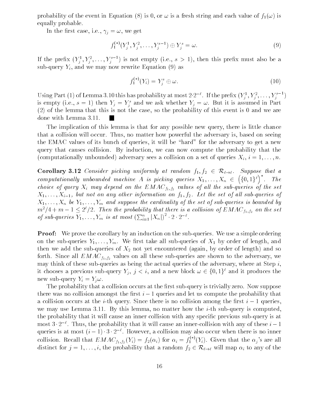is a free the event in Equation - is a free the event in Equation - is a free that is a free that is a free that is a free that is a free that is a free that is a free that is a free that is a free that is a free that is equally probable

In the first case, i.e.,  $\gamma_j = \omega$ , we get

$$
f_1^{(*)}(Y_j^1, Y_j^2, \dots, Y_j^{s-1}) \oplus Y_j^s = \omega.
$$
 (9)

If the prenx  $(Y_j, Y_j, \ldots, Y_j]$  is not empty (i.e.,  $s > 1$ ), then this prenx must also be a subquery Yi and we may now rewrite Equation -  $\mathcal{N}$ 

$$
f_1^{(*)}(Y_i) = Y_j^s \oplus \omega.
$$
 (10)

Using Part (1) of Lemma 3.10 this has probability at most 2.2  $\degree$  . If the prefix  $(Y_j^+,Y_j^-, \ldots, Y_j^+)$ is empty (i.e.,  $s = 1$ ) then  $Y_j = Y_j$  and we ask whether  $Y_j = \omega$ . But it is assumed in Part - of the lemma that this is not the case so the probability of this event is and we are done with Lemma 3.11.

The implication of this lemma is that for any possible new query there is little chance that a collision will occur. Thus, no matter how powerful the adversary is, based on seeing the EMAC values of its bunch of queries, it will be "hard" for the adversary to get a new query that causes collision. By induction, we can now compute the probability that the computationally unbounded- adversary sees a collision on a set of queries Xi <sup>i</sup> n

 $\mathcal{C}$  . The corollary at random f f f f f  $\mathcal{C}$  suppose that at random f f f  $\mathcal{C}$ computational ly undocumentation in the computation of  $\mathcal{E}_\mathbf{X}$  and  $\mathcal{E}_\mathbf{X}$  $(\{0,1\}^{\ell})^*$ . The choice of query  $X_i$  may depend on the  $EMAC_{f_1,f_2}$  values of all the sub-queries of the set XXi- but not on any other information on f f Let the set of all subqueries of  $\mathbf{1}$  and  $\mathbf{1}$  and suppose the suppose the set of the set of the set of subpose is bounded by a set of subset of subset of subset of subset of subset of subset of subset of subset of subset of subset of subset of s  $m^-/4+m-1\leq$  2  $^{\prime}/2.$  Then the probability that there is a collision of EMAC  $_{f_1,f_2}$  on the set of sub-queries  $Y_1, \ldots, Y_m$  is at most  $(\sum_{i=1}^n |X_n|)^2 \cdot 2 \cdot 2^{-\ell}$ .

**Proof:** We prove the corollary by an induction on the sub-queries. We use a simple ordering on the sub-queries  $Y_1, \ldots, Y_m$ . We first take all sub-queries of  $X_1$  by order of length, and the subset of  $\Delta$  and soft again by order of length-distribution by order of length-distribution  $\Delta$  length-distribution  $\Delta$ forth. Since all  $EMAC_{f_1,f_2}$  values on all these sub-queries are shown to the adversary, we may think of these sub-queries as being the actual queries of the adversary, where at Step  $i$ , it chooses a previous sub-query  $Y_j$ ,  $j < i$ , and a new block  $\omega \in \{0,1\}^{\ell}$  and it produces the new sub-query  $Y_i = Y_i \omega$ .

The probability that a collision occurs at the first sub-query is trivially zero. Now suppose there was no collision amongst the first  $i - 1$  queries and let us compute the probability that a collision occurs at the *i*-th query. Since there is no collision among the first  $i - 1$  queries, we may use Lemma 3.11. By this lemma, no matter how the *i*-th sub-query is computed, the probability that it will cause an inner collision with any specific previous sub-query is at most  $\mathfrak{d} \cdot Z^{-1}$  . Thus, the probability that it will cause an inner-collision with any of these  $i-1$ queries is at most  $(i-1) \cdot 5 \cdot 2$  . However, a collision may also occur when there is no inner collision. Recall that  $EMAC_{f_1,f_2}(Y_i) = f_2(\alpha_i)$  for  $\alpha_i = f_1^{\alpha'}(Y_i)$ . Given that the  $\alpha_j$ 's are all distinct for  $j = 1, \ldots, i$ , the probability that a random  $f_2 \in \mathcal{R}_{\ell \to \ell}$  will map  $\alpha_i$  to any of the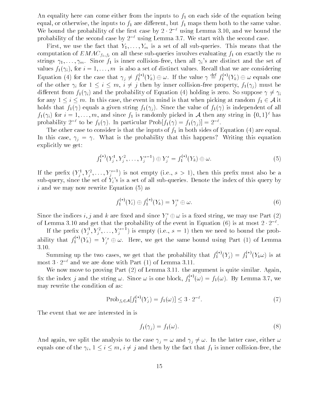An equality here can come either from the inputs to  $f_1$  on each side of the equation being equal, or otherwise, the inputs to  $f_1$  are different, but  $f_1$  maps them both to the same value. We bound the probability of the first case by  $\angle$  ·  $\angle$  - using Lemma 5.10, and we bound the probability of the second case by  $\text{Z}$  - using Lemma  $\mathfrak{I}$ . We start with the second case.

First, we use the fact that  $Y_1, \ldots, Y_m$  is a set of all sub-queries. This means that the computation of  $EMAC_{f_1,f_2}$  on all these sub-queries involves evaluating  $f_1$  on exactly the m strings  $\gamma_1, \ldots, \gamma_m$ . Since  $f_1$  is inner collision-free, then all  $\gamma_i$ 's are distinct and the set of  $\bm{J}$  in its also asset of distinct values  $\bm{I}$  and we are considering  $\bm{I}$  and we are considering  $\bm{I}$ Equation (4) for the case that  $\gamma_j \neq f_1^{\gamma'}(Y_k) \oplus \omega$ . If the value  $\gamma \equiv f_1^{\gamma'}(Y_k) \oplus \omega$  equals one of the other  $\mu$  for a  $\mu$  is a fit of  $j$  , then by inner collision free property for  $j$  -forms beam  $\tau$ dierent from fly (() which can be probability of Equation ( ) and the probability of So suppose ( ) (() () () ( for any  $1 \le i \le m$ . In this case, the event in mind is that when picking at random  $f_1 \in \mathcal{A}$  it holds that for a given string for the value of forms the value of forms the value of the value of the value of  $f_1(\gamma_i)$  for  $i = 1, \ldots, m$ , and since  $f_1$  is randomly picked in A then any string in  $\{0, 1\}$  has probability  $2 \div 10$  be  $f_1(\gamma)$ . In particular Prob $|f_1(\gamma)| = f_1(\gamma_i)| = 2 \div 1$ 

The other case to consider is that the inputs of the inputs of  $I$  in both sides of Equation is the input side of Equation is the input side of Equation is the input side of Equation is the input side of Equation is the i In this case,  $\gamma_i = \gamma$ . What is the probability that this happens? Writing this equation explicitly we get

$$
f_1^{(*)}(Y_j^1, Y_j^2, \dots, Y_j^{s-1}) \oplus Y_j^s = f_1^{(*)}(Y_k) \oplus \omega.
$$
 (5)

If the prefix  $(Y_j, Y_j, \ldots, Y_j)$  is not empty (i.e.,  $s > 1$ ), then this prefix must also be a sub-query, since the set of  $Y_i$ 's is a set of all sub-queries. Denote the index of this query by is an and we may now rewrite  $\mathbf{N} = \mathbf{N}$  . The may now rewrite Equation -  $\mathbf{N} = \mathbf{N}$ 

$$
f_1^{(*)}(Y_i) \oplus f_1^{(*)}(Y_k) = Y_j^s \oplus \omega.
$$
 (6)

Since the indices  $i, j$  and  $\kappa$  are fixed and since  $Y_j^+ \oplus \omega$  is a fixed string, we may use Part  $(2)$  . of Lemma 5.10 and get that the probability of the event in Equation (0) is at most  $\mathbb{Z} \cdot \mathbb{Z} \rightarrow \mathbb{Z}$ 

If the prenx  $(Y_j, Y_j, \ldots, Y_j)$  is empty (i.e.,  $s = 1$ ) then we need to bound the probability that  $f_1^{\perp} (Y_k) = Y_i^s \oplus \omega$ . Here, we get the same bound using Part (1) of Lemma 3.10.

Summing up the two cases, we get that the probability that  $f_1^{\alpha}(Y_i) = f_1^{\alpha}(Y_k\omega)$  is at most  $3 \cdot 2$  - and we are done with Part (1) of Lemma  $3.11.$ 

we are defined as  $\alpha$  -  $\alpha$  the argument is  $\alpha$  the argument is  $\alpha$  . The argument is  $\alpha$ fix the index j and the string  $\omega$ . Since  $\omega$  is one block,  $f_1^{\omega}(\omega) = f_1(\omega)$ . By Lemma 3.7, we may rewrite the condition of as

$$
Prob_{f_1 \in \mathcal{A}}[f_1^{(*)}(Y_j) = f_1(\omega)] \le 3 \cdot 2^{-\ell}.
$$
 (7)

The event that we are interested in is

$$
f_1(\gamma_j) = f_1(\omega). \tag{8}
$$

And again, we split the analysis to the case  $\gamma_j = \omega$  and  $\gamma_j \neq \omega$ . In the latter case, either  $\omega$ equals one of the  $\gamma_i$ ,  $1 \leq i \leq m$ ,  $i \neq j$  and then by the fact that  $f_1$  is inner collision-free, the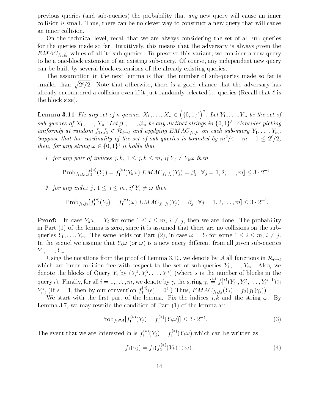previous queries and subqueries- the probability that any new query will cause an inner collision is small. Thus, there can be no clever way to construct a new query that will cause an inner collision

On the technical level, recall that we are always considering the set of all sub-queries for the queries made so far. Intuitively, this means that the adversary is always given the  $EMAC_{f_1,f_2}$  values of all its sub-queries. To preserve this variant, we consider a new query to be a one-block extension of an existing sub-query. Of course, any independent new query can be built by several block-extensions of the already existing queries.

The assumption in the next lemma is that the number of sub-queries made so far is smaller than  $\sqrt{2^{\ell}/2}$ . Note that otherwise, there is a good chance that the adversary has already encountered a collision even if it just randomly selected its queries (Recall that  $\ell$  is the block sizes in the block size of the block size of the block size of the block size of the block size of t

Lemma -- Fix any set of <sup>n</sup> queries XXn  $(\lbrace 0,1\rbrace^{\ell})^*$ . Let  $Y_1,\ldots,Y_m$  be the set of sub-queries of  $A_1,\ldots,A_n$ . Let  $\beta_1,\ldots,\beta_m$  be any aistinct strings in  $\{0,1\}$  . Consider picking uniformly at random  $f_1, f_2 \in \mathcal{R}_{\ell \to \ell}$  and applying  $EMAC_{f_1, f_2}$  on each sub-query  $Y_1, \ldots, Y_m$ . Suppose that the carainality of the set of sub-queries is bounded by  $m^-/4 + m = 1 \leq Z^+/Z$ , then, for any string  $\omega \in \{0,1\}^{\ell}$  it holds that

for any pair of indices j k j k m if Yj Yk then

$$
Prob_{f_1,f_2}[f_1^{(*)}(Y_j) = f_1^{(*)}(Y_k \omega) | EMAC_{f_1,f_2}(Y_j) = \beta_j \quad \forall j = 1,2,\ldots,m] \leq 3 \cdot 2^{-\ell}
$$

2. for any index j,  $1 \leq j \leq m$ , if  $Y_i \neq \omega$  then

$$
\text{Prob}_{f_1, f_2}[f_1^{(*)}(Y_j) = f_1^{(*)}(\omega)| EMAC_{f_1, f_2}(Y_j) = \beta_j \quad \forall j = 1, 2, \dots, m] \le 3 \cdot 2^{-\ell}.
$$

**Proof:** In case  $Y_k \omega = Y_i$  for some  $1 \leq i \leq m$ ,  $i \neq j$ , then we are done. The probability in Part - of the lemma is zero since it is assumed that the substitutions on the substitutions of the substitu queries YYm The same holds for Part - in case Yi for some <sup>i</sup> <sup>m</sup> <sup>i</sup> j In the sequel we assume that Ye or  $\mathcal{U}$  and  $\mathcal{U}$  are  $\mathcal{U}$  and all given subport from all given subport from all given subport from all given subport from all given subport from all given subport from all given  $Y_1,\ldots,Y_m$ .

Using the notations from the proof of Lemma 3.10, we denote by A all functions in  $\mathcal{R}_{\ell \to \ell}$ which are inner collision-free with respect to the set of sub-queries  $Y_1, \ldots, Y_m$ . Also, we denote the blocks of Query  $Y_i$  by  $(Y_i^-, Y_i^-, \ldots, Y_i^+)$  (where s is the number of blocks in the query  $i$ ). Finally, for all  $i=1,\ldots,m,$  we denote by  $\gamma_i$  the string  $\gamma_i \equiv f_1^{\gamma_1} (Y_i^1,Y_i^2,\ldots,Y_i^{s-1}) \oplus$  $Y_i^s$ , (If  $s = 1$ , then by our convention  $f_1^{\gamma}$   $(\epsilon) = 0^s$ .) Thus,  $EMAC_{f_1,f_2}(Y_i) = f_2(f_1(\gamma_i)).$ 

We start with the first part of the lemma. Fix the indices j, k and the string  $\omega$ . By  $\mathbb L$  we may rewrite the condition of  $\mathbb L$  as a condition of  $\mathbb L$  as a condition of  $\mathbb L$ 

$$
Prob_{f_1 \in \mathcal{A}}[f_1^{(*)}(Y_j) = f_1^{(*)}(Y_k \omega)] \le 3 \cdot 2^{-\ell}.
$$
 (3)

The event that we are interested in is  $f_1^{\wedge} (Y_i) = f_1^{\wedge} (Y_k \omega)$  which can be written as

$$
f_1(\gamma_j) = f_1(f_1^{(*)}(Y_k) \oplus \omega).
$$
 (4)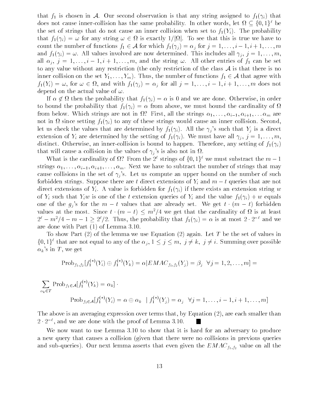that f is chosen in A  $\sim$  0.000 string assigned to form in A  $\sim$  10.000 string assigned to form in A  $\sim$  10.000 string assigned to form in A  $\sim$  10.000 string assigned to form in A  $\sim$  10.000 string assigned to form does not cause inner-collision has the same probability. In other words, let  $u \in \{0,1\}^+$  be the set of strings that do not cause and inner collision where set  $\mathcal{I}_1$  is  $\mathcal{I}_2$  . The probability that for any string is exactly in the see that the see that the see that the see that this is true we have to count the number of functions functions functions for  $j$  and  $j$  is a formulate functions functions  $j$  in  $j$  in  $j$  in  $j$  in  $j$  in  $j$  in  $j$  in  $j$  in  $j$  in  $j$  in  $j$  in  $j$  in  $j$  in  $j$  in  $j$  in  $j$  in  $j$  in and film is a communication of the most determined the communication of the film is included the state of the all  $\alpha_i$ ,  $j = 1, \ldots, i - 1, i + 1, \ldots, m$ , and the string  $\omega$ . All other entries of  $f_1$  can be set to any value without any restriction (the only restriction of the class  $A$  is that there is no inner collision on the set  $\{1\}$  ,  $\ldots$  ) and  $\{1\}$  are number of agreement for  $\{1\}$  ,  $\in$  (  $\ast$  ) and  $\alpha$   $\cup$   $\alpha$  $f$ ive $f$  and with  $f$  is and with form  $f$  in  $f$   $f$  and  $f$  is all  $f$  in  $f$  is all  $f$  in the set of  $f$  in  $f$  is an order  $f$  in  $f$  is an order  $f$  in  $f$  is an order  $f$  is an order  $f$  is an order  $f$  is an orde depend on the actual value of  $\omega$ .

If a probability the probability that  $f \downarrow \setminus \{i\}$  are done order order or and we are done  $\frac{1}{2}$ to bound the probability that for  $f$  is a cardinality of  $f$  above we must bound the cardinality of  $f$ from a first which strings are not in first all the strings i-limited i-limited  $\sim$ not in since setting for the single settings would cause any inner collision  $\alpha$  in  $\alpha$ let us check the values that are determined by  $f1\setminus\{i\}$  , such that  $\{j\}$  is such that  $\{j\}$  is a direction extension of  $\alpha$  are determined by the setting of formulation  $\alpha$  and  $\beta$  if  $\beta$  if  $\beta$  if  $\beta$  if  $\beta$  if  $\beta$  if  $\beta$  if  $\beta$  if  $\beta$  if  $\beta$  if  $\beta$  if  $\beta$  if  $\beta$  if  $\beta$  if  $\beta$  if  $\beta$  if  $\beta$  if  $\beta$  if  $\beta$  distinct. Otherwise, an inner-collision is bound to happen. Therefore, any setting of  $f_1(\gamma_i)$ that will cause a collision in the values of  $\gamma_i$ 's is also not in  $\Omega$ .

What is the cardinality of  $\Omega$ ? From the  $2^{\ell}$  strings of  $\{0,1\}^{\ell}$  we must substract the  $m-1$ strings i-1) i-1, introduction to subtract the number of strings that matter i- i- i-i-i-i-i-i-i-i-i-i-i-i-i-i cause collisions in the set of  $\gamma_j$ 's. Let us compute an upper bound on the number of such forbidden strings. Suppose there are t direct extensions of  $Y_i$  and  $m-t$  queries that are not direct extensions of  $\mathcal{L}_i$  are consistent for for  $\mathcal{L}_i$  ,  $\mathcal{L}_i$  are existence with string with  $\mathcal{L}_i$ of Yi such that Yi such that Yi such that Yi and the the the the value for  $\mathcal{Y}$  and the value for  $\mathcal{Y}$ one of the m the m the m the m the m transition  $\mathcal{A}$  for all  $\mathcal{A}$  are already set  $\mathcal{A}$ values at the most. Since  $t \cdot (m - t) \leq m \cdot /4$  we get that the cardinality of  $\Omega$  is at least  $\Delta^2 = m^2/4 = m - 1 \geq 2^2/2$ . Thus, the probability that  $f_1(\gamma_i) = \alpha$  is at most  $2 \cdot 2^{-\alpha}$  and we are done with Part -  $\mathcal{L}$  -  $\mathcal{L}$ 

. To show Part is the set of the left of the set of values in the set of values in the set of values in the set  $\{0, 1\}^*$  that are not equal to any of the  $\alpha_j$ ,  $1 \leq j \leq m$ ,  $j \neq k$ ,  $j \neq i$ . Summing over possible  $\alpha_k$ 's in T, we get

$$
\mathrm{Prob}_{f_1,f_2}[f_1^{(*)}(Y_i) \oplus f_1^{(*)}(Y_k) = \alpha | EMAC_{f_1,f_2}(Y_j) = \beta_j \quad \forall j = 1,2,\ldots,m] =
$$

$$
\sum_{\alpha_k \in T} \operatorname{Prob}_{f_1 \in \mathcal{A}}[f_1^{(*)}(Y_k) = \alpha_k] \cdot
$$
  
\n
$$
\operatorname{Prob}_{f_1 \in \mathcal{A}}[f_1^{(*)}(Y_i) = \alpha \oplus \alpha_k \mid f_1^{(*)}(Y_j) = \alpha_j \quad \forall j = 1, \dots, i-1, i+1, \dots, m]
$$

The above is an averaging expression over terms that by Equation - are each smaller than  $2 \cdot 2$  , and we are done with the proof of Lemma 5.10.

We now want to use Lemma  $3.10$  to show that it is hard for an adversary to produce a new query that causes a collision given that there were no collisions in previous queries and subqueries-during-during-during-during-during-during-during-during-during-during-during-during-during-during-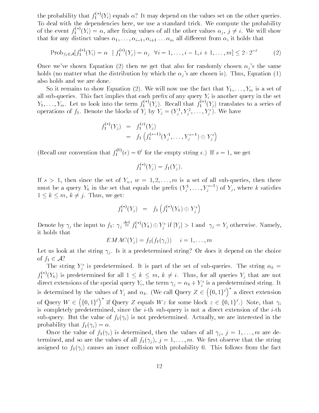the probability that  $f_1^{\times}(Y_i)$  equals  $\alpha$ . It may depend on the values set on the other queries. To deal with the dependencies here, we use a standard trick. We compute the probability of the event  $f_1^{\perp}{}'(Y_i) = \alpha$ , after fixing values of all the other values  $\alpha_j, j \neq i$ . We will show that for any distinct values i-l  $\{1, \ldots\}$  if  $\{1, \ldots, n\}$  is that from all dierent from  $\{1, \ldots, n\}$ 

$$
Prob_{f_1 \in \mathcal{A}}[f_1^{(*)}(Y_i) = \alpha \mid f_1^{(*)}(Y_j) = \alpha_j \quad \forall i = 1, \dots, i-1, i+1, \dots, m] \le 2 \cdot 2^{-\ell} \tag{2}
$$

 $\blacksquare$  then we get that also for randomly chosen just that also for randomly chosen just that also for randomly chosen just the same  $\blacksquare$ holds the distribution which the distribution  $\mathbb{F}_j$  which the state is are chosen is  $j$  . A finally  $\mathbb{F}_j$  and  $\mathbb{F}_j$ also holds and we are done

 $S$  it remains to show Equation -  $\langle - \rangle$  , the fact that  $\gamma$  and the fact that  $\gamma$  is  $\gamma$  and  $\gamma$  and  $\gamma$ all sub-queries. This fact implies that each prefix of any query  $Y_i$  is another query in the set  $Y_1,\ldots,Y_m$ . Let us look into the term  $f_1^{\gamma'}(Y_j)$ . Recall that  $f_1^{\gamma'}(Y_j)$  translates to a series of operations of  $f_1$ . Denote the blocks of  $Y_j$  by  $Y_j = (Y_j, Y_j, \ldots, Y_j)$ . We have

$$
f_1^{(*)}(Y_j) = f_1^{(s)}(Y_j)
$$
  
=  $f_1 \left( f_1^{(s-1)}(Y_j^1, \dots, Y_j^{s-1}) \oplus Y_j^s \right)$ 

(Recall our convention that  $f_1^{\text{eq}}(\epsilon) = 0^{\epsilon}$  for the empty string  $\epsilon$ .) If  $s = 1$ , we get

$$
f_1^{(*)}(Y_j) = f_1(Y_j).
$$

If s a set of the set of  $\mathbf{w}_1$  w w w  $\mathbf{u}_2$  is a set of all subports then the set of all subports then then then then then the set of all subports then the set of all subports then the set of all subports then the must be a query  $Y_k$  in the set that equals the prenx  $(Y_j^1, \ldots, Y_j^{j-1})$  of  $Y_j^1$ , where  $k$  satisfies  $1 \leq k \leq m$ ,  $k \neq j$ . Thus, we get:

$$
f_1^{(*)}(Y_j) = f_1\left(f_1^{(*)}(Y_k) \oplus Y_j^s\right)
$$

Denote by  $\gamma_j$  the input to  $f_1: \gamma_j = f_1^\gamma \, ' (Y_k) \oplus Y_j^s$  if  $|Y_j| > 1$  and  $\gamma_j = Y_j$  otherwise. Namely, it holds that

$$
EMAC(Y_j) = f_2(f_1(\gamma_j)) \quad i = 1, \ldots, m
$$

Let us look at the string  $\gamma_i$ . Is it a predetermined string? Or does it depend on the choice of  $f_1 \in \mathcal{A}$ ?

The string  $Y_i$  is predetermined. It is part of the set of sub-queries. The string  $\alpha_k =$ j  $f_1^{\rightarrow} (Y_k)$  is predetermined for all  $1 \leq k \leq m, k \neq i$ . Thus, for all queries  $Y_j$  that are not direct extensions of the special query  $r_i$ , the term  $\gamma_j = \alpha_k + r_j^\top$  is a predetermined string. It is determined by the values of  $\mathbb{N}$  and  $\mathbb{N}$  and  $\mathbb{N}$  and  $\mathbb{N}$  and  $\mathbb{N}$  $(\{0,1\}^{\ell})^*$  a direct extension of Query W  $(\{0,1\}^{\ell})^*$  if Query Z equals  $Wz$  for some block  $z \in \{0,1\}^{\ell}$ .) Note, that  $\gamma_i$ is completely predetermined, since the *i*-th sub-query is not a direct extension of the *i*-th sub query But the value of fixility we are interested interested in the medical medical service in the line probability that for  $\mathbf{r}$  and  $\mathbf{r}$  and  $\mathbf{r}$  and  $\mathbf{r}$  and  $\mathbf{r}$ 

 $\begin{array}{ccc} \bullet\quad \quad & \bullet\quad \quad & \bullet\quad \quad & \bullet\quad \quad & \bullet\quad \quad & \bullet\quad \quad & \bullet\quad \quad & \bullet\quad \quad & \bullet\quad \quad & \bullet\quad \quad & \bullet\quad \quad & \bullet\quad \quad & \bullet\quad \quad & \bullet\quad \quad & \bullet\quad \quad & \bullet\quad \quad & \bullet\quad \quad & \bullet\quad \quad & \bullet\quad \quad & \bullet\quad \quad & \bullet\quad \quad & \bullet\quad \quad & \bullet\quad \quad & \bullet\quad \quad & \bullet\quad \quad & \bullet\quad \quad & \bullet\quad \quad & \bullet\quad \quad & \bullet\quad \quad & \bullet\quad \quad & \bullet\$ termined and so are the values of all  $j$   $\downarrow$  (  $j$  )  $j$  -  $\rightarrow$  ) (  $\cdot$  ) (  $\cdot$  ) (  $\cdot$  ) (  $\cdot$  ) (  $\cdot$  ) (  $\cdot$  ) (  $\cdot$  ) (  $\cdot$  ) (  $\cdot$  ) (  $\cdot$  ) (  $\cdot$  ) (  $\cdot$  ) (  $\cdot$  ) (  $\cdot$  ) (  $\cdot$  ) (  $\cdot$  ) (  $\cdot$  ) assigned to follow the factor  $\mathbf{r}$  in the factor  $\mathbf{r}$  in the factor  $\mathbf{r}$  is follows from the factor  $\mathbf{r}$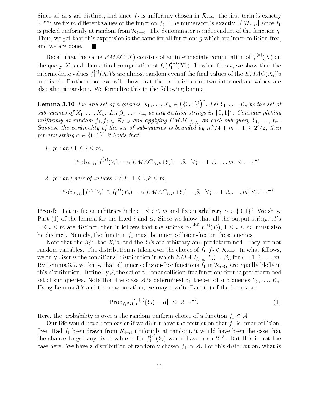Since all  $\alpha_i$ 's are distinct, and since  $f_2$  is uniformly chosen in  $\mathcal{R}_{\ell \to \ell}$ , the first term is exactly  $z^{-\cdots}$ : we fix m different values of the function  $f_2$ . The numerator is exactly  $1/|\mathcal{K}_{\ell \to \ell}|$  since  $f_1$ is picked uniformly at random from  $\mathcal{R}_{\ell \to \ell}$ . The denominator is independent of the function g. Thus, we get that this expression is the same for all functions g which are inner collision-free, and we are done

Recall that the value  $EMAC(X)$  consists of an intermediate computation of  $f_1^{\gamma}(X)$  on the query X, and then a final computation of  $f_2(f_1^+(X))$ . In what follow, we show that the intermediate values  $f_1^\vee(X_i)$  's are almost random even if the final values of the  $EMAC(X_i)$  's are fixed. Furthermore, we will show that the exclusive-or of two intermediate values are also almost random. We formalize this in the following lemma.

 $\mathcal{L}$  and  $\mathcal{L}$  and  $\mathcal{L}$  and  $\mathcal{L}$  and  $\mathcal{L}$  and  $\mathcal{L}$  and  $\mathcal{L}$  and  $\mathcal{L}$  and  $\mathcal{L}$  and  $\mathcal{L}$  and  $\mathcal{L}$  and  $\mathcal{L}$  and  $\mathcal{L}$  and  $\mathcal{L}$  and  $\mathcal{L}$  and  $\mathcal{L}$  and  $\mathcal{L}$  and  $(\lbrace 0,1\rbrace^{\ell})^*$ . Let  $Y_1,\ldots,Y_m$  be the set of sub-queries of  $A_1,\ldots,A_n$ . Let  $\beta_1,\ldots,\beta_m$  be any aistinct strings in  $\{0,1\}$  . Consider picking uniformly at random  $f_1, f_2 \in \mathcal{R}_{\ell \to \ell}$  and applying  $EMAC_{f_1, f_2}$  on each sub-query  $Y_1, \ldots, Y_m$ . Suppose the carainality of the set of sub-queries is bounded by  $m^-/4 + m - 1 \leq z^+/z$ , then for any string  $\alpha \in \{0,1\}^{\ell}$  it holds that

 $f$  and  $f$  and  $f$  and  $f$  and  $f$  and  $f$  and  $f$  and  $f$  and  $f$  and  $f$  and  $f$  and  $f$  and  $f$  and  $f$  and  $f$  and  $f$  and  $f$  and  $f$  and  $f$  and  $f$  and  $f$  and  $f$  and  $f$  and  $f$  and  $f$  and  $f$  and  $f$  and  $f$  a

$$
Prob_{f_1, f_2}[f_1^{(*)}(Y_i) = \alpha | EMAC_{f_1, f_2}(Y_j) = \beta_j \ \ \forall j = 1, 2, ..., m] \le 2 \cdot 2^{-\ell}
$$

2. for any pair of indices  $i \neq k$ ,  $1 \leq i, k \leq m$ ,

$$
\text{Prob}_{f_1, f_2}[f_1^{(*)}(Y_i) \oplus f_1^{(*)}(Y_k) = \alpha | EMAC_{f_1, f_2}(Y_j) = \beta_j \quad \forall j = 1, 2, \dots, m] \le 2 \cdot 2^{-\ell}
$$

**Proof:** Let us itx an arbitrary moex  $1 \leq i \leq m$  and itx an arbitrary  $\alpha \in \{0,1\}$ . We show re all the lemma for the strings of the since we know that all the since we know that all the output strings  $\mu$  and  $1 \leq i \leq m$  are distinct, then it follows that the strings  $\alpha_i \equiv f_1^{i,j}(Y_i)$ ,  $1 \leq i \leq m$ , must also be distinct. Namely, the function  $f_1$  must be inner collision-free on these queries.

is the is the Xis and the Yis are arbitrary and predetermined Theorem and predetermined They are not the Yis a random variables. The distribution is taken over the choice of  $f_1, f_2 \in \mathcal{R}_{\ell \to \ell}$ . In what follows, we only distribution in the condition in which EMAC field  $\mathcal{N} = \{1,1,2,3,\ldots,k\}$  is a set of  $\mathcal{N} = \{1,2,3,\ldots,k\}$ By Lemma 3.7, we know that all inner collision-free functions  $f_1$  in  $\mathcal{R}_{\ell \to \ell}$  are equally likely in this distribution. Define by  $A$  the set of all inner collision-free functions for the predetermined set of sub-queries. Note that the class A is determined by the set of sub-queries  $Y_1, \ldots, Y_m$ .  $U$  and the new notation we may rewrite  $U$  and the new may rewrite  $V$  the lemma as  $V$  the lemma as  $U$ 

$$
Prob_{f_1 \in \mathcal{A}}[f_1^{(*)}(Y_i) = \alpha] \le 2 \cdot 2^{-\ell}.
$$
 (1)

Here, the probability is over a the random uniform choice of a function  $f_1 \in \mathcal{A}$ .

Our life would have been easier if we didn't have the restriction that  $f_1$  is inner collisionfree. Had  $f_1$  been drawn from  $\mathcal{R}_{\ell \to \ell}$  uniformly at random, it would have been the case that the chance to get any fixed value  $\alpha$  for  $f_1^{\alpha}(Y_i)$  would have been  $2^{-\alpha}$ . But this is not the case here. We have a distribution of randomly chosen  $f_1$  in A. For this distribution, what is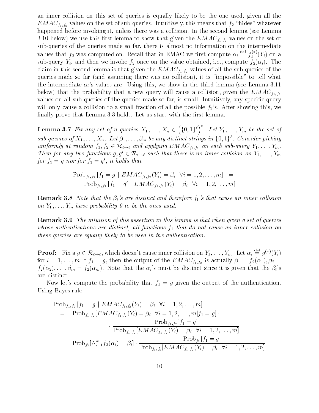an inner collision on this set of queries is equally likely to be the one used, given all the  $EMAC_{f_1, f_2}$  values on the set of sub-queries. Intuitively, this means that  $f_2$  "hides" whatever happened before invoking it, unless there was a collision. In the second lemma (see Lemma below-this rst lemma to show that  $\Theta$  is the set of the set of the set of the set of the set of the set of the set of the set of the set of the set of the set of the set of the set of the set of the set of the set of the sub-queries of the queries made so far, there is almost no information on the intermediate values that  $f_2$  was computed on. Recall that in EMAC we hrst compute  $\alpha_i \equiv f_1^\vee{'}(Y_i)$  on a subject for the subject of the view of the view of the value of the view of the value of the field  $\mu$ claim in this second lemma is that given the  $EMAC_{f_1,f_2}$  values of all the sub-queries of the  $\mathbf{u}$  and assuming the so far and assuming the collision-collision-collision-collision-collision-collision-collision-collision-collision-collision-collision-collision-collision-collision-collision-collision-collision-c the intermediate  $\alpha_i$ 's values are. Using this, we show in the third lemma (see Lemma 3.11) below-that the probability that a new query will cause a collision,  $\mathsf{O}$  and the EMACFF  $f14I2$ values on all sub-queries of the queries made so far, is small. Intuitively, any specific query will only cause a collision to a small fraction of all the possible  $f_1$ 's. After showing this, we finally prove that Lemma  $3.3$  holds. Let us start with the first lemma.

Lemma Fix any set of <sup>n</sup> queries XXn  $(\lbrace 0,1\rbrace^{\ell})^*$ . Let  $Y_1,\ldots,Y_m$  be the set of sub-queries of  $A_1,\ldots,A_n$ . Let  $\beta_1,\ldots,\beta_m$  be any aistinct strings in  $\{0,1\}$  . Consider picking uniformly at random  $f_1, f_2 \in \mathcal{R}_{\ell \to \ell}$  and applying  $EMAC_{f_1, f_2}$  on each sub-query  $Y_1, \ldots, Y_m$ . Then for any two functions  $g, g' \in \mathcal{R}_{\ell \to \ell}$  such that there is no inner-collision on  $Y_1, \ldots, Y_m$ for  $f_1 = g$  nor for  $f_1 = g$  , a notas that

$$
Prob_{f_1, f_2} [f_1 = g \mid EMAC_{f_1, f_2}(Y_i) = \beta_i \quad \forall i = 1, 2, ..., m] =
$$
  
\n
$$
Prob_{f_1, f_2} [f_1 = g' \mid EMAC_{f_1, f_2}(Y_i) = \beta_i \quad \forall i = 1, 2, ..., m]
$$

Remark Note that the -is are distinct and therefore fs that cause an inner col lision on  $Y_1, \ldots, Y_m$  have probability 0 to be the ones used.

**Remark 3.9** The intuition of this assertion in this lemma is that when given a set of queries whose authentications are distinct, all functions  $f_1$  that do not cause an inner collision on these queries are equally likely to be used in the authentication

**Proof:** Fix a  $g \in \mathcal{R}_{\ell \to \ell}$ , which doesn't cause inner collision on  $Y_1, \ldots, Y_m$ . Let  $\alpha_i \equiv g^{(*)}(Y_i)$ for internally  $f$  for  $f$  is actually of the output of the EMACFF  $f_{14/2}$  is actually  $f$  is a  $f$   $f$   $f$   $f$   $f$ if the international term of the international contract of the since it is given that the since it is given the<br>International contract of the since it is given that the since it is given that the since of the since of the are distinct

Now let's compute the probability that  $f_1 = g$  given the output of the authentication. Using Bayes rule

$$
\begin{aligned}\n\text{Prob}_{f_1, f_2} \left[ f_1 = g \mid EMAC_{f_1, f_2}(Y_i) = \beta_i \ \ \forall i = 1, 2, \dots, m \right] \\
&= \text{Prob}_{f_1, f_2} [EMAC_{f_1, f_2}(Y_i) = \beta_i \ \ \forall i = 1, 2, \dots, m | f_1 = g] \cdot \\
&\quad \text{Prob}_{f_1, f_2} [f_1 = g] \\
&\quad \text{Prob}_{f_1, f_2} [EMAC_{f_1, f_2}(Y_i) = \beta_i \ \ \forall i = 1, 2, \dots, m] \\
&= \text{Prob}_{f_2} [\wedge_{i=1}^m f_2(\alpha_i) = \beta_i] \cdot \frac{\text{Prob}_{f_1} [f_1 = g]}{\text{Prob}_{f_1, f_2} [EMAC_{f_1, f_2}(Y_i) = \beta_i \ \ \forall i = 1, 2, \dots, m]}\n\end{aligned}
$$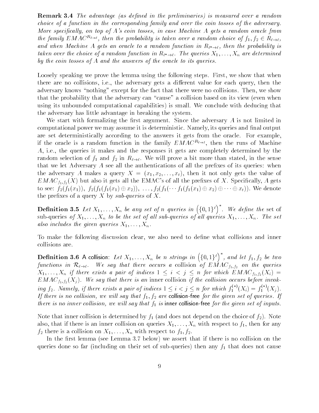**Remark 3.4** The advantage (as defined in the preliminaries) is measured over a random choice of a function in the corresponding family and over the coin tosses of the adversary More specifically, on top of  $A$ 's coin tosses, in case Machine  $A$  gets a random oracle from the family  $EMAC^{R_{\ell}}$ , then the probability is taken over a random choice of  $f_1, f_2 \in R_{\ell}$ , and when  $\mathbf{r}$  is about  $\mathbf{r}$  . The probability is a random function in R-, and  $\mathbf{r}$  is a probability is  $t_{\rm acc}$  and the choice of a random function in  ${\bf r}_t \rightarrow t$ . The queries  ${\bf r}_1, \ldots, {\bf r}_n$  are determined by the coin tosses of  $A$  and the answers of the oracle to its queries.

Loosely speaking we prove the lemma using the following steps. First, we show that when there are no collisions, i.e., the adversary gets a different value for each query, then the adversary knows "nothing" except for the fact that there were no collisions. Then, we show that the probability that the adversary can "cause" a collision based on its view (even when is unbounded computational capabilities- is small We conclude with deducing that  $\mathbf{u}$ the adversary has little advantage in breaking the system

We start with formalizing the first argument. Since the adversary  $A$  is not limited in computational power we may assume it is deterministic. Namely, its queries and final output are set deterministically according to the answers it gets from the oracle. For example, if the oracle is a random function in the family  $EMAC^{R_{\ell \to \ell}}$ , then the runs of Machine  $A$ , i.e., the queries it makes and the responses it gets are completely determined by the random selection of  $f_1$  and  $f_2$  in  $R_{\ell \to \ell}$ . We will prove a bit more than stated, in the sense that we let Adversary  $\tilde{A}$  see all the authentications of all the prefixes of its queries: when the adversary A makes a query X  $\mathbf{1}$  and it not only gets the value of  $\mathbf{1}$  $E$  and  $\mathcal{L}$  also it gets all the present of  $\mathcal{L}$  and the present  $\mathcal{L}$  and  $\mathcal{L}$  and  $\mathcal{L}$  and  $\mathcal{L}$ to see falling and the falling of the falling and the second service of the first contract of the first contract of the second service of the second service of the second second service of the second service of the second the prefixes of a query X by  $sub-queries$  of X.

**Definition 3.5** Let  $X_1, \ldots, X_n$  be any set of n queries in  $(\{0,1\}^{\ell})^*$ . We define the set of sub-queries of  $X_1, \ldots, X_n$  to be the set of all sub-queries of all queries  $X_1, \ldots, X_n$ . The set also includes the given queries  $X_1, \ldots, X_n$ .

To make the following discussion clear, we also need to define what collisions and inner collisions are

**Definition 3.6** A collision: Let  $X_1,\ldots,X_n$  be n strings in  $(\{0,1\}^{\ell})^*$ , and let  $f_1,f_2$  be two functions in  $\mathcal{R}_{\ell \to \ell}$ . We say that there occurs a collision of  $EMAC_{f_1, f_2}$  on the queries  $\mathbf{1}$  if there exists a pair of indices indices  $\mathbf{1}$  and  $\mathbf{1}$  if  $\mathbf{1}$  if  $\mathbf{1}$  and  $\mathbf{1}$  if  $\mathbf{1}$  and  $\mathbf{1}$  and  $\mathbf{1}$  and  $\mathbf{1}$  and  $\mathbf{1}$  and  $\mathbf{1}$  and  $\mathbf{1}$  and  $\mathbf{1}$  and  $\mathbf$  $E(M, N)$  -matrix before is an inner collision inner collision in the collision of the collision of the collision of the collision in  $J$ ing  $f_2$ . Namely, if there exists a pair of indices  $1 \leq i < j \leq n$  for which  $f_1^{\perp}(X_i) = f_1^{\perp}(X_i)$ . If there is no collision, we will say that  $f_1, f_2$  are collision-free for the given set of queries. If there is no inner collision, we will say that  $f_1$  is inner collision-free for the given set of inputs.

Note that inner collision is determined by f and does not depend on the choice of f- Note also, that if there is an inner collision on queries  $X_1, \ldots, X_n$  with respect to  $f_1$ , then for any  $f_2$  there is a collision on  $X_1, \ldots, X_n$  with respect to  $f_1, f_2$ .

in the most demonstrated that including the second  $\mu$  is no collision on the second collision on the collisio are including on the so far including on the subset of subset of subset of subset of subset of subset of subset of subset of subset of subset of subset of subset of subset of subset of subset of subset of subset of subset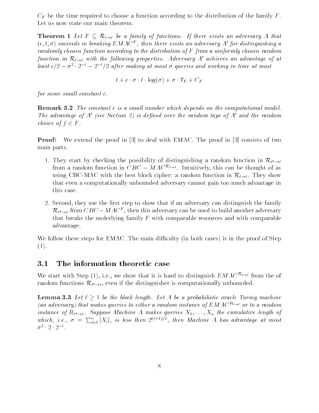$C_F$  be the time required to choose a function according to the distribution of the family F. Let us now state our main theorem.

 $\Gamma$  - Let  $\Gamma$  and  $\Gamma$  and  $\Gamma$  are adversary  $\Gamma$  and  $\Gamma$  and  $\Gamma$  and  $\Gamma$  and  $\Gamma$  and  $\Gamma$  are adversary  $\Gamma$  $(\epsilon, \iota, \sigma)$  succeeds in oreaking EMACF, then there exists an adversary A for distinguishing a randomly chosen function according to the distribution of F from a uniformly chosen random function in  $\mathcal{R}_{\ell \to \ell}$  with the following properties. Adversary A' achieves an advantage of at least  $\epsilon/2-\sigma$   $\cdot$   $\epsilon$   $\tau$   $\epsilon$   $\tau/2$  after making at most  $\sigma$  queries and working in time at most

$$
t + c \cdot \sigma \cdot \ell \cdot \log(\sigma) + \sigma \cdot T_F + C_F
$$

for some small constant  $c$ .

**Remark 3.2** The constant c is a small number which depends on the computational model. The advantage of A' (see Section 2) is defined over the random tape of A' and the random choice of  $f \in F$ .

**Proof:** We extend the proof in  $\begin{bmatrix} 3 \end{bmatrix}$  to deal with EMAC. The proof in  $\begin{bmatrix} 3 \end{bmatrix}$  consists of two main parts

- 1. They start by checking the possibility of distinguishing a random function in  $\mathcal{R}_{\ell^* \to \ell}$ from a random function in  $\bigcirc D\bigcirc = M A\bigcirc^{-\epsilon-1}$ . Intuitively, this can be thought of as using CBC-MAC with the best block cipher: a random function in  $\mathcal{R}_{\ell \to \ell}$ . They show that even a computationally unbounded adversary cannot gain too much advantage in this case
- 2. Second, they use the first step to show that if an adversary can distinguish the family  $\kappa_{\ell^* \to \ell}$  from  $\cup$  DC  $-$  MAC – , then this adversary can be used to build another adversary that breaks the underlying family  $F$  with comparable resources and with comparable advantage

we follow these steps for Emac The main diculty in the main diculty in the case proof of Steps--

## 3.1 The information theoretic case

We start with Step  $(1)$ , i.e., we show that it is hard to distinguish  $EMAU^{12}$  from the of random functions  $\alpha$ ,  $\rightarrow$   $\alpha$ , which is computationally unbounded unbounded.

**Lemma 3.3** Let  $\ell \geq 1$  be the block length. Let A be a probabilistic oracle Turing machine (an adversary) that makes queries to either a random instance of  $EMAC^{R_{\ell \rightarrow \ell}}$  or to a random  $\alpha$  instance  $\beta$  are  $\rightarrow$   $\alpha$  suppose maturities  $\alpha$  makes  $\beta$  and the  $\alpha$   $\alpha$   $\beta$  and  $\alpha$  is  $\beta$ which, i.e.,  $\sigma = \sum_{i=1}^n |X_i|$ , is less then  $2^{(\ell+1)/2}$ , then Machine A has advantage at most  $\sigma$   $\cdot$   $\vartriangle$   $\cdot$   $\vartriangle$   $\cdot$   $\vartriangle$   $\cdot$   $\vartriangle$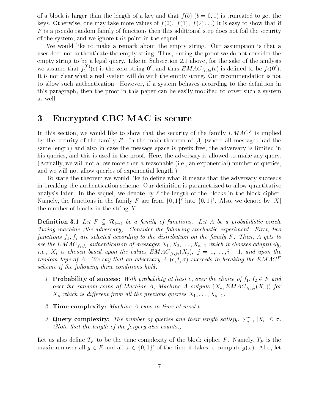of a block is larger than the length of a key and the length of a key and that f bkeys Otherwise one may take more values of f  $\mathcal{N}$  -f  $\mathcal{N}$  -f  $\mathcal{N}$  -f  $\mathcal{N}$  -f  $\mathcal{N}$  -f  $\mathcal{N}$  -f  $\mathcal{N}$  -f  $\mathcal{N}$  -f  $\mathcal{N}$  -f  $\mathcal{N}$  -f  $\mathcal{N}$  -f  $\mathcal{N}$  -f  $\mathcal{N}$  -f  $\mathcal{N}$  -f  $\mathcal{N}$  $F$  is a pseudo random family of functions then this additional step does not foil the security of the system, and we ignore this point in the sequel.

We would like to make a remark about the empty string. Our assumption is that a user does not authenticate the empty string. Thus, during the proof we do not consider the empty string to be a legal query. Like in Subsection  $2.1$  above, for the sake of the analysis we assume that  $f_1^{\gamma}(\epsilon)$  is the zero string  $0^{\circ}$ , and thus  $EMAC_{f_1,f_2}(\epsilon)$  is defined to be  $f_2(0^{\circ})$ . It is not clear what a real system will do with the empty string. Our recommendation is not to allow such authentication. However, if a system behaves according to the definition in this paragraph, then the proof in this paper can be easily modified to cover such a system as well

# Encrypted CBC MAC is secure

In this section, we would like to show that the security of the family  $EMAC$  is implied  $\blacksquare$ by the security of the family F. In the main theorem of  $\lbrack 3 \rbrack$  (where all messages had the same elength-y case that is the message space  $\mathcal{A}$  is presented in the adverse the adversary is limited in his queries, and this is used in the proof. Here, the adversary is allowed to make any query. , actually we will not allow more then a reasonable is a reasonable in the second complete is a reasonable in and we will not allow queries of exponential length.)

To state the theorem we would like to define what it means that the adversary succeeds in breaking the authentication scheme. Our definition is parametrized to allow quantitative analysis later. In the sequel, we denote by  $\ell$  the length of the blocks in the block cipher. Namely, the functions in the family F are from  $\{0,1\}$  -mto  $\{0,1\}$  . Also, we denote by  $\|A\|$ the number of blocks in the string  $X$ .

 $\frac{1}{\sqrt{2}}$  be a family of functions  $\frac{1}{\sqrt{2}}$  be a probability of functions  $\frac{1}{\sqrt{2}}$  be a probability of  $\frac{1}{\sqrt{2}}$ Turing machine (the adversary). Consider the following stochastic experiment. First, two functions  $f_1, f_2$  are selected according to the distribution on the family F. Then, A gets to see the Emacra f authentication of messages  $\mathcal{F}_1$  and  $\mathcal{F}_2$  it chooses adaptively  $\mathcal{F}_2$ ie is chosen based upon the values EMAC field  $j$  is chosen based upon the values  $E$  is considered upon the values of  $\mathbf{I}$ random tape of  $A$ . We say that an adversary  $A$  ( $\epsilon, \iota, \sigma$ ) succeeds in oreaking the EMACF  $$ scheme if the following three conditions hold:

- Probability of success With probability at least over the choice of f f <sup>F</sup> and over the random coins of  $\mathbf{r}$  and  $\mathbf{r}$  and  $\mathbf{r}$  and  $\mathbf{r}$  and  $\mathbf{r}$   $\mathbf{r}$   $\mathbf{r}$   $\mathbf{r}$   $\mathbf{r}$   $\mathbf{r}$   $\mathbf{r}$   $\mathbf{r}$   $\mathbf{r}$   $\mathbf{r}$   $\mathbf{r}$   $\mathbf{r}$   $\mathbf{r}$   $\mathbf{r}$   $\mathbf{r}$   $\mathbf{r}$   $\mathcal{X}=\mathcal{U}$  which is diepensional previous  $\mathcal{Y}=\mathcal{Y}$  the previous  $\mathcal{Y}=\mathcal{Y}=\mathcal{Y}$
- 2. Time complexity: Machine A runs in time at most  $t$ .
- 3. Query complexity: The number of queries and their length satisfy:  $\sum_{i=1}^{n} |X_i| \leq \sigma$ . (Note that the length of the forgery also counts.)

Let us also define  $T_F$  to be the time complexity of the block cipher F. Namely,  $T_F$  is the maximum over all  $q \in T$  and all  $\omega \in \{0,1\}^\circ$  of the time it takes to compute  $q(\omega).$  Also, let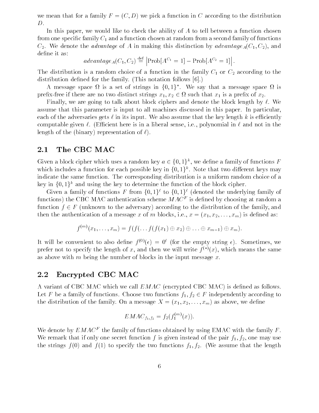we mean that for a family F  $\alpha$  function in  $\alpha$  function in  $\alpha$  function in  $\alpha$  $D$ .

In this paper, we would like to check the ability of  $A$  to tell between a function chosen from one specific family  $C_1$  and a function chosen at random from a second family of functions  $C = 4$  in matrix distinction by advantage of A in making this distinction by advantageAC  $C = 4$  in  $\mathcal{A}$ define it as:

$$
advantage_A(C_1, C_2) \stackrel{\text{def}}{=} \left| \text{Prob}[A^{C_1} = 1] - \text{Prob}[A^{C_2} = 1] \right|.
$$

The distribution is a random choice of a function in the family  $C_1$  or  $C_2$  according to the distribution defined for the family. (This notation follows  $[6]$ .)

A message space is a set of strings in  $\{0,1\}$ . We say that a message space is is prefix-free if there are no two distinct strings  $x_1, x_2 \in \Omega$  such that  $x_1$  is a prefix of  $x_2$ .

Finally, we are going to talk about block ciphers and denote the block length by  $\ell$ . We assume that this parameter is input to all machines discussed in this paper. In particular, each of the adversaries gets  $\ell$  in its input. We also assume that the key length k is efficiently computable given  $\ell$ . (Efficient here is in a liberal sense, i.e., polynomial in  $\ell$  and not in the length of the binary- representation of -

#### $2.1$ The CBC MAC

Given a block cipher which uses a random key  $a \in \{0,1\}^{\times}$ , we define a family of functions  $F$ which includes a function for each possible key in  $\{0,1\}^n$  . Note that two different keys may indicate the same function. The corresponding distribution is a uniform random choice of a key in  $\{0,1\}^k$  and using the key to determine the function of the block cipher.

Given a family of functions F from  $\{0,1\}^{\ell}$  to  $\{0,1\}^{\ell}$  (denoted the underlying family of  $\tt{1}$ unctions) the CDC MAC authentication scheme  $M$ AC  $^{-}$  is defined by choosing at random a function f F unknown to the adversary- according to the distribution of the family and then the authorization of a message  $\lambda$  and  $\lambda$  and  $\lambda$  as  $\lambda$  as  $\lambda$  and  $\lambda$ 

$$
f^{(m)}(x_1,\ldots,x_m)=f(f(\ldots f(f(x_1)\oplus x_2)\oplus \ldots \oplus x_{m-1})\oplus x_m).
$$

It will be convenient to also define  $f^{\vee\vee}(\epsilon) = 0^{\circ}$  (for the empty string  $\epsilon$ ). Sometimes, we prefer not to specify the length of x, and then we will write  $f \vee (x)$ , which means the same as above with m being the number of blocks in the input message  $x$ .

## Encrypted CBC MAC

A variant of CBC MAC which we call EMAC encrypted CBC MAC- is dened as follows Let F be a family of functions. Choose two functions  $f_1, f_2 \in F$  independently according to the distribution of the family  $\mathbf{O}$  and  $\mathbf{A}$  as above we denote we denote we denote we denote we denote

$$
EMAC_{f_1, f_2} = f_2(f_1^{(m)}(x)).
$$

We denote by  $EMAC$  – the family of functions obtained by using EMAC with the family  $F$ . We remark that if only one secret function f is given instead of the pair  $f_1, f_2$ , one may use the strings for the strings functions functions for the two functions functions for  $\mathcal{A}$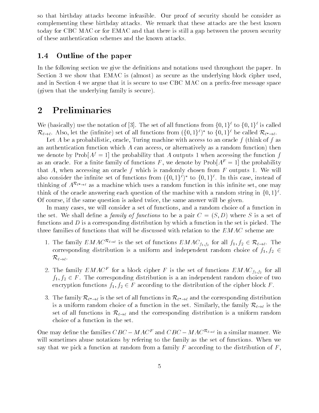so that birthday attacks become infeasible Our proof of security should be consider as complementing these birthday attacks We remark that these attacks are the best known today for CBC MAC or for EMAC and that there is still a gap between the proven security of these authentication schemes and the known attacks

## 1.4 Outline of the paper

In the following section we give the definitions and notations used throughout the paper. In Section we show that EMAC is almost- as secure as the underlying block cipher used and in Section I we argue that it is secure to use CBC and a present it is secure message space.  $\mathcal{L}$ 

## Preliminaries

We (basically) use the notation of  $\lvert \mathfrak{d} \rvert$ . The set of all functions from  $\{0,1\}^*$  to  $\{0,1\}^*$  is called  $\kappa_{\ell \to \ell}$ . Also, let the (infinite) set of all functions from  $(\{0, 1\})$  to  $\{0, 1\}$  be called  $\kappa_{\ell^* \to \ell}$ .

Let A be a probabilistic, oracle, Turing machine with access to an oracle  $f$  (think of f as and alternatively function and access or alternatively as alternatively as a random function-  $\alpha$ we denote by  $\text{Prob}[A^f = 1]$  the probability that A outputs 1 when accessing the function f as an oracle. For a finite family of functions F, we denote by  $\text{Prob}[A^F = 1]$  the probability that A, when accessing an oracle f which is randomly chosen from  $F$  outputs 1. We will also consider the infinite set of functions from  $(\{0,1\})$  to  $\{0,1\}$  . In this case, instead of thinking of  $A^{\alpha}$   $\rightarrow$  as a machine which uses a random function in this infinite set, one may think of the oracle answering each question of the machine with a random string in  $\{0,1\}$  . Of course, if the same question is asked twice, the same answer will be given.

In many cases, we will consider a set of functions, and a random choice of a function in the set  $N$  set  $N$  shall denote be a pair  $\mathcal{S}$  denote be a pair  $\mathcal{S}$  of  $\mathcal{S}$  . Set of  $\mathcal{S}$ functions and  $D$  is a corresponding distribution by which a function in the set is picked. The three families of functions that will be discussed with relation to the  $EMAC$  scheme are

- 1. The family  $EMAC$  is the set of functions  $EMAC_{f_1,f_2}$  for all  $f_1, f_2 \in R_{\ell \to \ell}$ . The corresponding distribution is a uniform and independent random choice of  $f_1, f_2 \in$  $\mathcal{R}_{\ell \to \ell}$ .
- 2. The family  $EMAC$  for a block cipher F is the set of functions  $EMAC_{f_1,f_2}$  for all  $f_1, f_2 \in F$ . The corresponding distribution is a an independent random choice of two encryption functions  $f_1, f_2 \in F$  according to the distribution of the cipher block F.
- $\sigma$ . The family  $\alpha_i \rightarrow_l$  is the set of all functions in  $\alpha_i \rightarrow_l$  and the corresponding distribution is a uniform random choice of a function in the set. Similarly, the family  $\mathcal{R}_{\ell \to \ell}$  is the set of all functions in  $\mathcal{R}_{\ell \to \ell}$  and the corresponding distribution is a uniform random choice of a function in the set

One may define the families  $CBC - MAC^F$  and  $CBC - MAC^{\mathcal{R}_{\ell \to \ell}}$  in a similar manner. We will sometimes abuse notations by refering to the family as the set of functions. When we say that we pick a function at random from a family  $F$  according to the distribution of  $F$ ,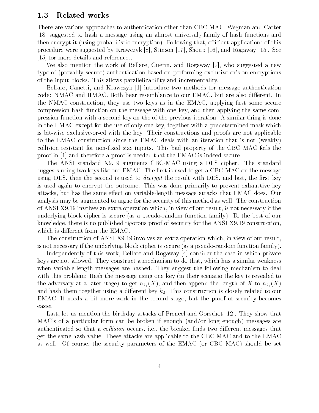## 1.3 Related works

There are various approaches to authentication other than CBC MAC Wegman and Carter [18] suggested to hash a message using an almost universal family of hash functions and then encryption-direction-direction-direction-direction-direction-direction-direction-direction-direction-directionprocedure were suggested by Krawczyk  $[8]$ , Stinson [17], Shoup [16], and Rogaway [15]. See [15] for more details and references.

We also mention the work of Bellare, Guerin, and Rogaway  $[2]$ , who suggested a new type of provably secure- authentication based on performing exclusiveors on encryptions of the input blocks This allows parallelizability and incrementality

Bellare, Canetti, and Krawczyk [1] introduce two methods for message authentication code: NMAC and HMAC. Both bear resemblance to our EMAC, but are also different. In the NMAC construction, they use two keys as in the EMAC, applying first some secure compression hash function on the message with one key and then applying the same com pression function with a second key on the of the previous iteration A similar thing is done in the HMAC except for the use of only one key, together with a predetermined mask which is bit-wise exclusive-or-ed with the key. Their constructions and proofs are not applicable to the EMAC construction since the EMAC deals with an iteration that is not (weakly) collision resistant for non-fixed size inputs. This bad property of the CBC MAC foils the proof in  $[1]$  and therefore a proof is needed that the EMAC is indeed secure.

The ANSI standard X9.19 augments CBC-MAC using a DES cipher. The standard suggests using two keys like our EMAC. The first is used to get a CBC-MAC on the message using DES, then the second is used to *decrypt* the result with DES, and last, the first key is used again to encrypt the outcome This was done primarily to prevent exhaustive key attacks, but has the same effect on variable-length message attacks that EMAC does. Our analysis may be augmented to argue for the security of this method as well. The construction of ANSI X9.19 involves an extra operation which, in view of our result, is not necessary if the underlying block cipher is secure as a pseudorandom function family- To the best of our knowledge, there is no published rigorous proof of security for the ANSI  $X9.19$  construction. which is different from the EMAC.

The construction of ANSI X9.19 involves an extra operation which, in view of our result, is not not not necessary if the underlying block circumstance circumstance as a pseudorandom function family-

Independently of this work Bellare and Rogaway  consider the case in which private keys are not allowed. They construct a mechanism to do that, which has a similar weakness when variable-length messages are hashed. They suggest the following mechanism to deal with this problem: Hash the message using one key (in their scenario the key is revealed to the adversary at a later stage-of-control the length of the length of the length of the length of the length o and hash them together using a different key  $k_2$ . This construction is closely related to our EMAC. It needs a bit more work in the second stage, but the proof of security becomes easier

Last, let us mention the birthday attacks of Preneel and Oorschot  $[12]$ . They show that MACs of a particular form can be broken if enough andor long enough- messages are authenticated so that a *collision* occurs, i.e., the breaker finds two different messages that get the same hash value. These attacks are applicable to the CBC MAC and to the EMAC as well of course, we seeming parameters of the EMAC gas can consider the Mac-Cac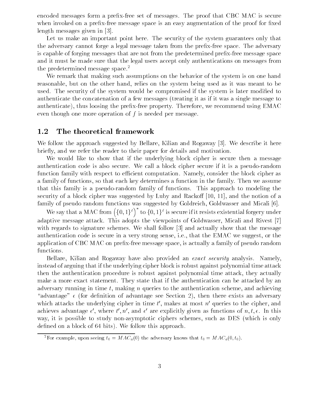encoded messages form a prefix-free set of messages. The proof that CBC MAC is secure when invoked on a prefix-free message space is an easy augmentation of the proof for fixed length messages given in [3].

Let us make an important point here. The security of the system guarantees only that the adversary cannot forge a legal message taken from the prefix-free space. The adversary is capable of forging messages that are not from the predetermined prefix-free message space and it must be made sure that the legal users accept only authentications on messages from the predetermined message space.<sup>2</sup>

We remark that making such assumptions on the behavior of the system is on one hand reasonable, but on the other hand, relies on the system being used as it was meant to be used. The security of the system would be compromised if the system is later modified to authenticate the concatenation of a few messages (treating it as if it was a single message to authenticate- thus loosing the prexfree property Therefore we recommend using EMAC even though one more operation of  $f$  is needed per message

#### $1.2$ The theoretical framework

We follow the approach suggested by Bellare, Kilian and Rogaway [3]. We describe it here briefly, and we refer the reader to their paper for details and motivation.

We would like to show that if the underlying block cipher is secure then a message authentication code is also secure. We call a block cipher secure if it is a pseudo-random function family with respect to efficient computation. Namely, consider the block cipher as a family of functions so that each key determines a function in the family Then we assume that this family is a pseudorandom family of functions This approach to modeling the security of a block cipher was suggested by Luby and Rackoff  $[10, 11]$ , and the notion of a family of pseudo random functions was suggested by Goldreich, Goldwasser and Micali [6].

We say that a MAC from  $({0,1})^{\ell}$  to  ${0,1}^{\ell}$  is secure if it resists existential forgery under adaptive message attack. This adopts the viewpoints of Goldwasser, Micali and Rivest [7] with regards to signature schemes. We shall follow  $\lceil 3 \rceil$  and actually show that the message authentication code is secure in a very strong sense, i.e., that the EMAC we suggest, or the application of CBC MAC on prefix-free message space, is actually a family of pseudo random functions

Bellare, Kilian and Rogaway have also provided an *exact security* analysis. Namely, instead of arguing that if the underlying cipher block is robust against polynomial time attack then the authentication procedure is robust against polynomial time attack they actually make a more exact statement. They state that if the authentication can be attacked by an adversary running in time t, making n queries to the authentication scheme, and achieving advantage see Section of advantage see Section -  $t$  and advantage see Section -  $t$ which attacks the underlying cipher in time  $t$  , makes at most  $n$  queries to the cipher, and achieves advantage  $\epsilon$  , where  $\iota$  ,  $n$  , and  $\epsilon$  are explicitly given as functions of  $n, \iota, \epsilon$ . In this way, it is possible to study non-asymptotic ciphers schemes, such as DES (which is only dense on a bit seems the block of the bits-follow the seems the problem of the second contract of the second c

For example, upon seeing  $t_0 \equiv M A C_a(0)$  the adversary knows that  $t_0 \equiv M A C_a(0,t_0)$ .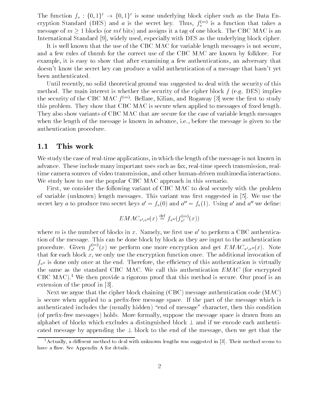The function  $f_a : \{0,1\}^* \rightarrow \{0,1\}^*$  is some underlying block cipher such as the Data Encryption Standard (DES) and  $a$  is the secret key. Thus,  $f_a^{\,\cdots\,\prime}$  is a function that takes a message of m bits-case ( ). More what  $\rho$  is a tag of one block The CBC MAC is and  $\rho$  is and International Standard [9], widely used, especially with DES as the underlying block cipher.

It is well known that the use of the CBC MAC for variable length messages is not secure and a few rules of thumb for the correct use of the CBC MAC are known by folklore. For example, it is easy to show that after examining a few authentications, an adversary that doesn't know the secret key can produce a valid authentication of a message that hasn't yet been authenticated

Until recently no solid theoretical ground was suggested to deal with the security of this method The main interest is whether the security of the cipher block f eg DES- implies the security of the UBU MAU  $I^{\text{env}}$ . Bellare, Kilian, and Rogaway [3] were the first to study this problem. They show that CBC MAC is secure when applied to messages of fixed length. They also show variants of CBC MAC that are secure for the case of variable length messages when the length of the message is known in advance, i.e., before the message is given to the authentication procedure

## 1.1 This work

We study the case of real-time applications, in which the length of the message is not known in advance. These include many important uses such as fax, real-time speech transmission, realtime camera sources of video transmission, and other human-driven multimedia interactions. We study how to use the popular CBC MAC approach in this scenario.

First, we consider the following variant of CBC MAC to deal securely with the problem of variable under the standard messages of the succession of the state of the suggested in the state of the sta secret key a to produce two secret keys  $a^* = f_a(0)$  and  $a^* = f_a(1)$ . Using a and a we define:

$$
EMAC_{a',a''}(x) \stackrel{\text{def}}{=} f_{a''}(f_{a'}^{(m)}(x))
$$

where m is the number of blocks in x. Namely, we first use  $a'$  to perform a CBC authentication of the message This can be done block by block by block by block as they are input to the authority of the authority of the authority of the authority of the authority of the authority of the authority of the authori procedure. Given  $f_a^{(r)}(x)$  we perform one more encryption and get  $EMAC_{a',a''}(x)$ . Note that for each block  $x_i$  we only use the encryption function once. The additional invocation of  $f_{a''}$  is done only once at the end. Therefore, the efficiency of this authentication is virtually the same as the standard CBC MAC. We call this authentication  $EMAC$  (for encrypted CBC MAC- We then provide a rigorous proof that this method is secure Our proof is an extension of the proof in [3].

 $N = N$ is secure when applied to a prefix-free message space. If the part of the message which is authenticated includes the usually hidden-distribution  $\mathcal{U}$ of prexfree messages- holds More formally suppose the message space is drawn from an alphabet of blocks which excludes a distinguished blocks and if we encode each one collect contracts. cated message by appending the - block to the end of the message then we get that the

<sup>-</sup>Actually, a different method to deal with unknown lengths was suggested in [5]. Their method seems to the fo have a see Appendix A for details and the see Appendix A for details and the see Appendix A for details and the